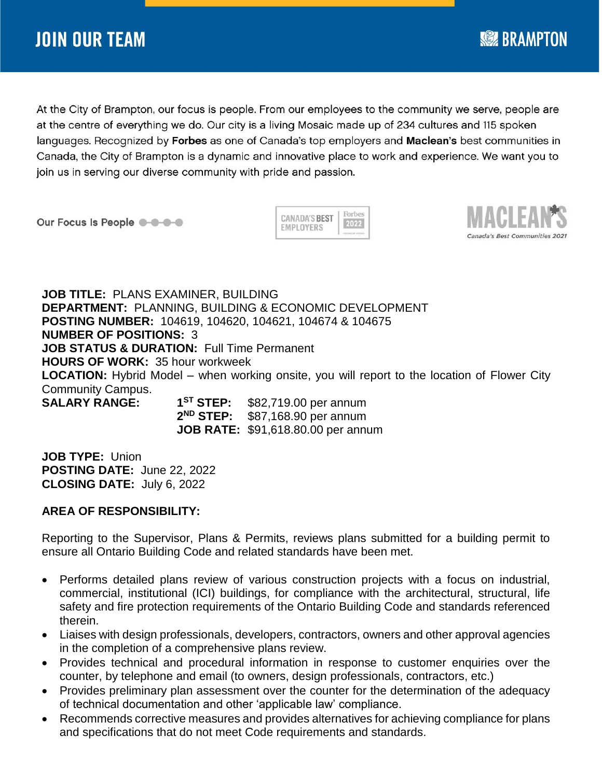At the City of Brampton, our focus is people. From our employees to the community we serve, people are at the centre of everything we do. Our city is a living Mosaic made up of 234 cultures and 115 spoken languages. Recognized by Forbes as one of Canada's top employers and Maclean's best communities in Canada, the City of Brampton is a dynamic and innovative place to work and experience. We want you to join us in serving our diverse community with pride and passion.

Our Focus Is People @ -0-0-0

Forbes **CANADA'S BEST** 2022 EMPLOYERS



**SEE BRAMPTON** 

**JOB TITLE:** PLANS EXAMINER, BUILDING **DEPARTMENT:** PLANNING, BUILDING & ECONOMIC DEVELOPMENT **POSTING NUMBER:** 104619, 104620, 104621, 104674 & 104675 **NUMBER OF POSITIONS:** 3 **JOB STATUS & DURATION:** Full Time Permanent **HOURS OF WORK:** 35 hour workweek **LOCATION:** Hybrid Model – when working onsite, you will report to the location of Flower City Community Campus. **SALARY RANGE: 1**

\$82,719.00 per annum 2<sup>ND</sup> STEP: \$87,168.90 per annum **JOB RATE:** \$91,618.80.00 per annum

**JOB TYPE:** Union **POSTING DATE:** June 22, 2022 **CLOSING DATE:** July 6, 2022

## **AREA OF RESPONSIBILITY:**

Reporting to the Supervisor, Plans & Permits, reviews plans submitted for a building permit to ensure all Ontario Building Code and related standards have been met.

- Performs detailed plans review of various construction projects with a focus on industrial, commercial, institutional (ICI) buildings, for compliance with the architectural, structural, life safety and fire protection requirements of the Ontario Building Code and standards referenced therein.
- Liaises with design professionals, developers, contractors, owners and other approval agencies in the completion of a comprehensive plans review.
- Provides technical and procedural information in response to customer enquiries over the counter, by telephone and email (to owners, design professionals, contractors, etc.)
- Provides preliminary plan assessment over the counter for the determination of the adequacy of technical documentation and other 'applicable law' compliance.
- Recommends corrective measures and provides alternatives for achieving compliance for plans and specifications that do not meet Code requirements and standards.